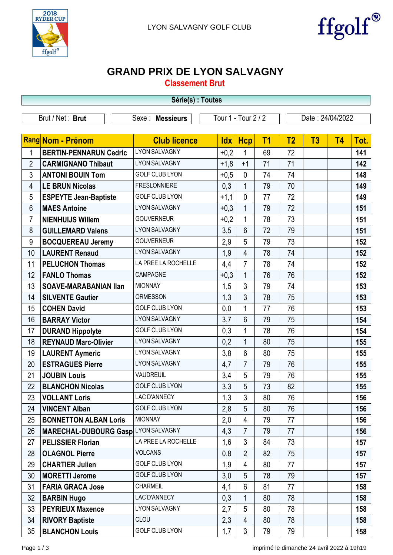



## **GRAND PRIX DE LYON SALVAGNY**

**Classement Brut**

| Série(s) : Toutes                                                               |                                     |                       |            |                |                |                |                |           |      |
|---------------------------------------------------------------------------------|-------------------------------------|-----------------------|------------|----------------|----------------|----------------|----------------|-----------|------|
| Brut / Net: Brut<br>Tour 1 - Tour 2 / 2<br>Date: 24/04/2022<br>Sexe : Messieurs |                                     |                       |            |                |                |                |                |           |      |
|                                                                                 |                                     |                       |            |                |                |                |                |           |      |
|                                                                                 | <b>Rang Nom - Prénom</b>            | <b>Club licence</b>   | <b>Idx</b> | <b>Hcp</b>     | T <sub>1</sub> | T <sub>2</sub> | T <sub>3</sub> | <b>T4</b> | Tot. |
| 1                                                                               | <b>BERTIN-PENNARUN Cedric</b>       | <b>LYON SALVAGNY</b>  | $+0,2$     | 1              | 69             | 72             |                |           | 141  |
| $\overline{2}$                                                                  | <b>CARMIGNANO Thibaut</b>           | <b>LYON SALVAGNY</b>  | $+1,8$     | $+1$           | 71             | 71             |                |           | 142  |
| 3                                                                               | <b>ANTONI BOUIN Tom</b>             | <b>GOLF CLUB LYON</b> | $+0,5$     | $\mathbf{0}$   | 74             | 74             |                |           | 148  |
| 4                                                                               | <b>LE BRUN Nicolas</b>              | <b>FRESLONNIERE</b>   | 0,3        | $\mathbf 1$    | 79             | 70             |                |           | 149  |
| 5                                                                               | <b>ESPEYTE Jean-Baptiste</b>        | <b>GOLF CLUB LYON</b> | $+1,1$     | 0              | 77             | 72             |                |           | 149  |
| 6                                                                               | <b>MAES Antoine</b>                 | <b>LYON SALVAGNY</b>  | $+0,3$     | $\mathbf{1}$   | 79             | 72             |                |           | 151  |
| $\overline{7}$                                                                  | <b>NIENHUIJS Willem</b>             | <b>GOUVERNEUR</b>     | $+0,2$     | $\mathbf{1}$   | 78             | 73             |                |           | 151  |
| 8                                                                               | <b>GUILLEMARD Valens</b>            | <b>LYON SALVAGNY</b>  | 3,5        | 6              | 72             | 79             |                |           | 151  |
| 9                                                                               | <b>BOCQUEREAU Jeremy</b>            | <b>GOUVERNEUR</b>     | 2,9        | 5              | 79             | 73             |                |           | 152  |
| 10                                                                              | <b>LAURENT Renaud</b>               | <b>LYON SALVAGNY</b>  | 1,9        | 4              | 78             | 74             |                |           | 152  |
| 11                                                                              | <b>PELUCHON Thomas</b>              | LA PREE LA ROCHELLE   | 4,4        | $\overline{7}$ | 78             | 74             |                |           | 152  |
| 12                                                                              | <b>FANLO Thomas</b>                 | CAMPAGNE              | $+0,3$     | $\mathbf{1}$   | 76             | 76             |                |           | 152  |
| 13                                                                              | <b>SOAVE-MARABANIAN IIan</b>        | <b>MIONNAY</b>        | 1,5        | 3              | 79             | 74             |                |           | 153  |
| 14                                                                              | <b>SILVENTE Gautier</b>             | <b>ORMESSON</b>       | 1,3        | 3              | 78             | 75             |                |           | 153  |
| 15                                                                              | <b>COHEN David</b>                  | <b>GOLF CLUB LYON</b> | 0,0        | 1              | 77             | 76             |                |           | 153  |
| 16                                                                              | <b>BARRAY Victor</b>                | <b>LYON SALVAGNY</b>  | 3,7        | 6              | 79             | 75             |                |           | 154  |
| 17                                                                              | <b>DURAND Hippolyte</b>             | <b>GOLF CLUB LYON</b> | 0,3        | 1              | 78             | 76             |                |           | 154  |
| 18                                                                              | <b>REYNAUD Marc-Olivier</b>         | <b>LYON SALVAGNY</b>  | 0,2        | $\mathbf{1}$   | 80             | 75             |                |           | 155  |
| 19                                                                              | <b>LAURENT Aymeric</b>              | LYON SALVAGNY         | 3,8        | 6              | 80             | 75             |                |           | 155  |
| 20                                                                              | <b>ESTRAGUES Pierre</b>             | <b>LYON SALVAGNY</b>  | 4,7        | $\overline{7}$ | 79             | 76             |                |           | 155  |
| 21                                                                              | <b>JOUBIN Louis</b>                 | VAUDREUIL             | 3,4        | 5              | 79             | 76             |                |           | 155  |
| 22                                                                              | <b>BLANCHON Nicolas</b>             | <b>GOLF CLUB LYON</b> | 3,3        | 5              | 73             | 82             |                |           | 155  |
| 23                                                                              | <b>VOLLANT Loris</b>                | LAC D'ANNECY          | 1,3        | 3              | 80             | 76             |                |           | 156  |
| 24                                                                              | <b>VINCENT Alban</b>                | <b>GOLF CLUB LYON</b> | 2,8        | 5              | 80             | 76             |                |           | 156  |
| 25                                                                              | <b>BONNETTON ALBAN Loris</b>        | <b>MIONNAY</b>        | 2,0        | 4              | 79             | 77             |                |           | 156  |
| 26                                                                              | MARECHAL-DUBOURG Gasp LYON SALVAGNY |                       | 4,3        | $\overline{7}$ | 79             | 77             |                |           | 156  |
| 27                                                                              | <b>PELISSIER Florian</b>            | LA PREE LA ROCHELLE   | 1,6        | 3              | 84             | 73             |                |           | 157  |
| 28                                                                              | <b>OLAGNOL Pierre</b>               | <b>VOLCANS</b>        | 0,8        | $\overline{2}$ | 82             | 75             |                |           | 157  |
| 29                                                                              | <b>CHARTIER Julien</b>              | <b>GOLF CLUB LYON</b> | 1,9        | 4              | 80             | 77             |                |           | 157  |
| 30                                                                              | <b>MORETTI Jerome</b>               | <b>GOLF CLUB LYON</b> | 3,0        | 5              | 78             | 79             |                |           | 157  |
| 31                                                                              | <b>FARIA GRACA Jose</b>             | <b>CHARMEIL</b>       | 4,1        | 6              | 81             | 77             |                |           | 158  |
| 32                                                                              | <b>BARBIN Hugo</b>                  | LAC D'ANNECY          | 0,3        | 1              | 80             | 78             |                |           | 158  |
| 33                                                                              | <b>PEYRIEUX Maxence</b>             | LYON SALVAGNY         | 2,7        | 5              | 80             | 78             |                |           | 158  |
| 34                                                                              | <b>RIVORY Baptiste</b>              | CLOU                  | 2,3        | 4              | 80             | 78             |                |           | 158  |
| 35                                                                              | <b>BLANCHON Louis</b>               | <b>GOLF CLUB LYON</b> | 1,7        | 3              | 79             | 79             |                |           | 158  |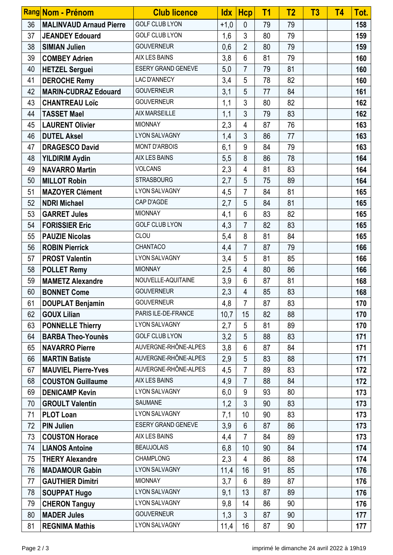|    | Rang Nom - Prénom              | <b>Club licence</b>       | <b>Idx</b> | <b>Hcp</b>     | T <sub>1</sub> | T <sub>2</sub> | T <sub>3</sub> | <b>T4</b> | Tot. |
|----|--------------------------------|---------------------------|------------|----------------|----------------|----------------|----------------|-----------|------|
| 36 | <b>MALINVAUD Arnaud Pierre</b> | <b>GOLF CLUB LYON</b>     | $+1,0$     | $\mathbf{0}$   | 79             | 79             |                |           | 158  |
| 37 | <b>JEANDEY Edouard</b>         | <b>GOLF CLUB LYON</b>     | 1,6        | 3              | 80             | 79             |                |           | 159  |
| 38 | <b>SIMIAN Julien</b>           | <b>GOUVERNEUR</b>         | 0,6        | $\overline{2}$ | 80             | 79             |                |           | 159  |
| 39 | <b>COMBEY Adrien</b>           | AIX LES BAINS             | 3,8        | 6              | 81             | 79             |                |           | 160  |
| 40 | <b>HETZEL Serguei</b>          | <b>ESERY GRAND GENEVE</b> | 5,0        | $\overline{7}$ | 79             | 81             |                |           | 160  |
| 41 | <b>DEROCHE Remy</b>            | LAC D'ANNECY              | 3,4        | 5              | 78             | 82             |                |           | 160  |
| 42 | <b>MARIN-CUDRAZ Edouard</b>    | <b>GOUVERNEUR</b>         | 3,1        | 5              | 77             | 84             |                |           | 161  |
| 43 | <b>CHANTREAU Loïc</b>          | <b>GOUVERNEUR</b>         | 1,1        | 3              | 80             | 82             |                |           | 162  |
| 44 | <b>TASSET Mael</b>             | <b>AIX MARSEILLE</b>      | 1,1        | 3              | 79             | 83             |                |           | 162  |
| 45 | <b>LAURENT Olivier</b>         | <b>MIONNAY</b>            | 2,3        | 4              | 87             | 76             |                |           | 163  |
| 46 | <b>DUTEL Aksel</b>             | <b>LYON SALVAGNY</b>      | 1,4        | $\overline{3}$ | 86             | 77             |                |           | 163  |
| 47 | <b>DRAGESCO David</b>          | <b>MONT D'ARBOIS</b>      | 6,1        | 9              | 84             | 79             |                |           | 163  |
| 48 | <b>YILDIRIM Aydin</b>          | AIX LES BAINS             | 5,5        | 8              | 86             | 78             |                |           | 164  |
| 49 | <b>NAVARRO Martin</b>          | <b>VOLCANS</b>            | 2,3        | 4              | 81             | 83             |                |           | 164  |
| 50 | <b>MILLOT Robin</b>            | <b>STRASBOURG</b>         | 2,7        | 5              | 75             | 89             |                |           | 164  |
| 51 | <b>MAZOYER Clément</b>         | <b>LYON SALVAGNY</b>      | 4,5        | $\overline{7}$ | 84             | 81             |                |           | 165  |
| 52 | <b>NDRI Michael</b>            | CAP D'AGDE                | 2,7        | 5              | 84             | 81             |                |           | 165  |
| 53 | <b>GARRET Jules</b>            | <b>MIONNAY</b>            | 4,1        | 6              | 83             | 82             |                |           | 165  |
| 54 | <b>FORISSIER Eric</b>          | <b>GOLF CLUB LYON</b>     | 4,3        | $\overline{7}$ | 82             | 83             |                |           | 165  |
| 55 | <b>PAUZIE Nicolas</b>          | CLOU                      | 5,4        | 8              | 81             | 84             |                |           | 165  |
| 56 | <b>ROBIN Pierrick</b>          | CHANTACO                  | 4,4        | $\overline{7}$ | 87             | 79             |                |           | 166  |
| 57 | <b>PROST Valentin</b>          | <b>LYON SALVAGNY</b>      | 3,4        | 5              | 81             | 85             |                |           | 166  |
| 58 | <b>POLLET Remy</b>             | <b>MIONNAY</b>            | 2,5        | 4              | 80             | 86             |                |           | 166  |
| 59 | <b>MAMETZ Alexandre</b>        | NOUVELLE-AQUITAINE        | 3,9        | 6              | 87             | 81             |                |           | 168  |
| 60 | <b>BONNET Come</b>             | <b>GOUVERNEUR</b>         | 2,3        | $\overline{4}$ | 85             | 83             |                |           | 168  |
| 61 | <b>DOUPLAT Benjamin</b>        | <b>GOUVERNEUR</b>         | 4,8        | $\overline{7}$ | 87             | 83             |                |           | 170  |
| 62 | <b>GOUX Lilian</b>             | PARIS ILE-DE-FRANCE       | 10,7       | 15             | 82             | 88             |                |           | 170  |
| 63 | <b>PONNELLE Thierry</b>        | LYON SALVAGNY             | 2,7        | 5              | 81             | 89             |                |           | 170  |
| 64 | <b>BARBA Theo-Younès</b>       | <b>GOLF CLUB LYON</b>     | 3,2        | 5              | 88             | 83             |                |           | 171  |
| 65 | <b>NAVARRO Pierre</b>          | AUVERGNE-RHÔNE-ALPES      | 3,8        | 6              | 87             | 84             |                |           | 171  |
| 66 | <b>MARTIN Batiste</b>          | AUVERGNE-RHÔNE-ALPES      | 2,9        | 5              | 83             | 88             |                |           | 171  |
| 67 | <b>MAUVIEL Pierre-Yves</b>     | AUVERGNE-RHÔNE-ALPES      | 4,5        | $\overline{7}$ | 89             | 83             |                |           | 172  |
| 68 | <b>COUSTON Guillaume</b>       | <b>AIX LES BAINS</b>      | 4,9        | $\overline{7}$ | 88             | 84             |                |           | 172  |
| 69 | <b>DENICAMP Kevin</b>          | LYON SALVAGNY             | 6,0        | 9              | 93             | 80             |                |           | 173  |
| 70 | <b>GROULT Valentin</b>         | SAUMANE                   | 1,2        | 3              | 90             | 83             |                |           | 173  |
| 71 | <b>PLOT Loan</b>               | <b>LYON SALVAGNY</b>      | 7,1        | 10             | 90             | 83             |                |           | 173  |
| 72 | <b>PIN Julien</b>              | <b>ESERY GRAND GENEVE</b> | 3,9        | 6              | 87             | 86             |                |           | 173  |
| 73 | <b>COUSTON Horace</b>          | AIX LES BAINS             | 4,4        | $\overline{7}$ | 84             | 89             |                |           | 173  |
| 74 | <b>LIANOS Antoine</b>          | <b>BEAUJOLAIS</b>         | 6,8        | 10             | 90             | 84             |                |           | 174  |
| 75 | <b>THERY Alexandre</b>         | <b>CHAMPLONG</b>          | 2,3        | 4              | 86             | 88             |                |           | 174  |
| 76 | <b>MADAMOUR Gabin</b>          | <b>LYON SALVAGNY</b>      | 11,4       | 16             | 91             | 85             |                |           | 176  |
| 77 | <b>GAUTHIER Dimitri</b>        | <b>MIONNAY</b>            | 3,7        | 6              | 89             | 87             |                |           | 176  |
| 78 | <b>SOUPPAT Hugo</b>            | LYON SALVAGNY             | 9,1        | 13             | 87             | 89             |                |           | 176  |
| 79 | <b>CHERON Tanguy</b>           | <b>LYON SALVAGNY</b>      | 9,8        | 14             | 86             | 90             |                |           | 176  |
| 80 | <b>MADER Jules</b>             | <b>GOUVERNEUR</b>         | 1,3        | 3              | 87             | 90             |                |           | 177  |
| 81 | <b>REGNIMA Mathis</b>          | <b>LYON SALVAGNY</b>      | 11,4       | 16             | 87             | 90             |                |           | 177  |